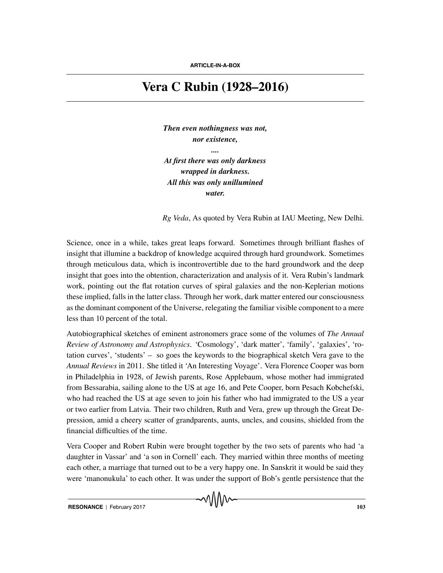## **Vera C Rubin (1928–2016)**

*Then even nothingness was not, nor existence,*

*.... At first there was only darkness wrapped in darkness. All this was only unillumined water.*

*Rg Veda*, As quoted by Vera Rubin at IAU Meeting, New Delhi.

Science, once in a while, takes great leaps forward. Sometimes through brilliant flashes of insight that illumine a backdrop of knowledge acquired through hard groundwork. Sometimes through meticulous data, which is incontrovertible due to the hard groundwork and the deep insight that goes into the obtention, characterization and analysis of it. Vera Rubin's landmark work, pointing out the flat rotation curves of spiral galaxies and the non-Keplerian motions these implied, falls in the latter class. Through her work, dark matter entered our consciousness as the dominant component of the Universe, relegating the familiar visible component to a mere less than 10 percent of the total.

Autobiographical sketches of eminent astronomers grace some of the volumes of *The Annual Review of Astronomy and Astrophysics*. 'Cosmology', 'dark matter', 'family', 'galaxies', 'rotation curves', 'students' – so goes the keywords to the biographical sketch Vera gave to the *Annual Reviews* in 2011. She titled it 'An Interesting Voyage'. Vera Florence Cooper was born in Philadelphia in 1928, of Jewish parents, Rose Applebaum, whose mother had immigrated from Bessarabia, sailing alone to the US at age 16, and Pete Cooper, born Pesach Kobchefski, who had reached the US at age seven to join his father who had immigrated to the US a year or two earlier from Latvia. Their two children, Ruth and Vera, grew up through the Great Depression, amid a cheery scatter of grandparents, aunts, uncles, and cousins, shielded from the financial difficulties of the time.

Vera Cooper and Robert Rubin were brought together by the two sets of parents who had 'a daughter in Vassar' and 'a son in Cornell' each. They married within three months of meeting each other, a marriage that turned out to be a very happy one. In Sanskrit it would be said they were 'manonukula' to each other. It was under the support of Bob's gentle persistence that the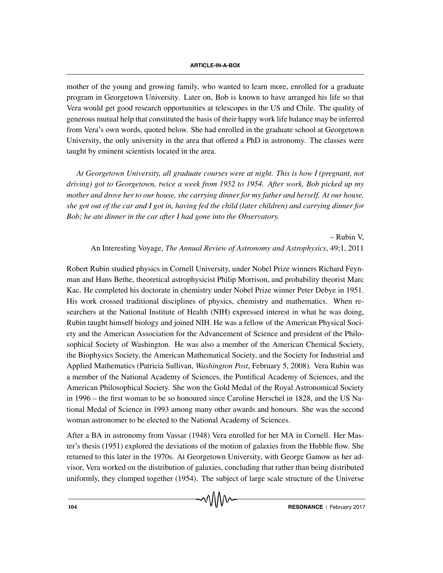mother of the young and growing family, who wanted to learn more, enrolled for a graduate program in Georgetown University. Later on, Bob is known to have arranged his life so that Vera would get good research opportunities at telescopes in the US and Chile. The quality of generous mutual help that constituted the basis of their happy work life balance may be inferred from Vera's own words, quoted below. She had enrolled in the graduate school at Georgetown University, the only university in the area that offered a PhD in astronomy. The classes were taught by eminent scientists located in the area.

*At Georgetown University, all graduate courses were at night. This is how I (pregnant, not driving) got to Georgetown, twice a week from 1952 to 1954. After work, Bob picked up my mother and drove her to our house, she carrying dinner for my father and herself. At our house, she got out of the car and I got in, having fed the child (later children) and carrying dinner for Bob; he ate dinner in the car after I had gone into the Observatory.*

– Rubin V,

An Interesting Voyage, *The Annual Review of Astronomy and Astrophysics*, 49;1, 2011

Robert Rubin studied physics in Cornell University, under Nobel Prize winners Richard Feynman and Hans Bethe, theoretical astrophysicist Philip Morrison, and probability theorist Marc Kac. He completed his doctorate in chemistry under Nobel Prize winner Peter Debye in 1951. His work crossed traditional disciplines of physics, chemistry and mathematics. When researchers at the National Institute of Health (NIH) expressed interest in what he was doing, Rubin taught himself biology and joined NIH. He was a fellow of the American Physical Society and the American Association for the Advancement of Science and president of the Philosophical Society of Washington. He was also a member of the American Chemical Society, the Biophysics Society, the American Mathematical Society, and the Society for Industrial and Applied Mathematics (Patricia Sullivan, *Washington Post*, February 5, 2008). Vera Rubin was a member of the National Academy of Sciences, the Pontifical Academy of Sciences, and the American Philosophical Society. She won the Gold Medal of the Royal Astronomical Society in 1996 – the first woman to be so honoured since Caroline Herschel in 1828, and the US National Medal of Science in 1993 among many other awards and honours. She was the second woman astronomer to be elected to the National Academy of Sciences.

After a BA in astronomy from Vassar (1948) Vera enrolled for her MA in Cornell. Her Master's thesis (1951) explored the deviations of the motion of galaxies from the Hubble flow. She returned to this later in the 1970s. At Georgetown University, with George Gamow as her advisor, Vera worked on the distribution of galaxies, concluding that rather than being distributed uniformly, they clumped together (1954). The subject of large scale structure of the Universe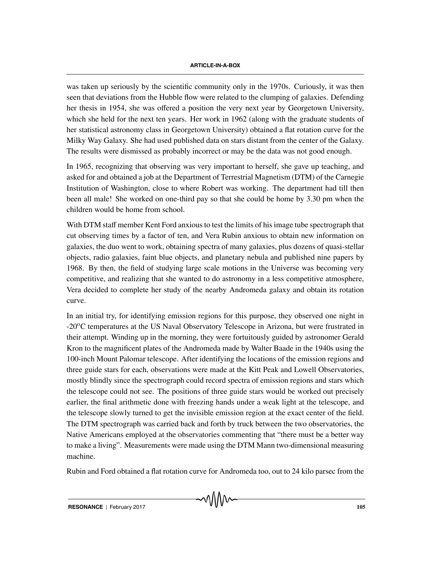was taken up seriously by the scientific community only in the 1970s. Curiously, it was then seen that deviations from the Hubble flow were related to the clumping of galaxies. Defending her thesis in 1954, she was offered a position the very next year by Georgetown University, which she held for the next ten years. Her work in 1962 (along with the graduate students of her statistical astronomy class in Georgetown University) obtained a flat rotation curve for the Milky Way Galaxy. She had used published data on stars distant from the center of the Galaxy. The results were dismissed as probably incorrect or may be the data was not good enough.

In 1965, recognizing that observing was very important to herself, she gave up teaching, and asked for and obtained a job at the Department of Terrestrial Magnetism (DTM) of the Carnegie Institution of Washington, close to where Robert was working. The department had till then been all male! She worked on one-third pay so that she could be home by 3.30 pm when the children would be home from school.

With DTM staff member Kent Ford anxious to test the limits of his image tube spectrograph that cut observing times by a factor of ten, and Vera Rubin anxious to obtain new information on galaxies, the duo went to work, obtaining spectra of many galaxies, plus dozens of quasi-stellar objects, radio galaxies, faint blue objects, and planetary nebula and published nine papers by 1968. By then, the field of studying large scale motions in the Universe was becoming very competitive, and realizing that she wanted to do astronomy in a less competitive atmosphere, Vera decided to complete her study of the nearby Andromeda galaxy and obtain its rotation curve.

In an initial try, for identifying emission regions for this purpose, they observed one night in -20<sup>o</sup>C temperatures at the US Naval Observatory Telescope in Arizona, but were frustrated in their attempt. Winding up in the morning, they were fortuitously guided by astronomer Gerald Kron to the magnificent plates of the Andromeda made by Walter Baade in the 1940s using the 100-inch Mount Palomar telescope. After identifying the locations of the emission regions and three guide stars for each, observations were made at the Kitt Peak and Lowell Observatories, mostly blindly since the spectrograph could record spectra of emission regions and stars which the telescope could not see. The positions of three guide stars would be worked out precisely earlier, the final arithmetic done with freezing hands under a weak light at the telescope, and the telescope slowly turned to get the invisible emission region at the exact center of the field. The DTM spectrograph was carried back and forth by truck between the two observatories, the Native Americans employed at the observatories commenting that "there must be a better way to make a living". Measurements were made using the DTM Mann two-dimensional measuring machine.

Rubin and Ford obtained a flat rotation curve for Andromeda too, out to 24 kilo parsec from the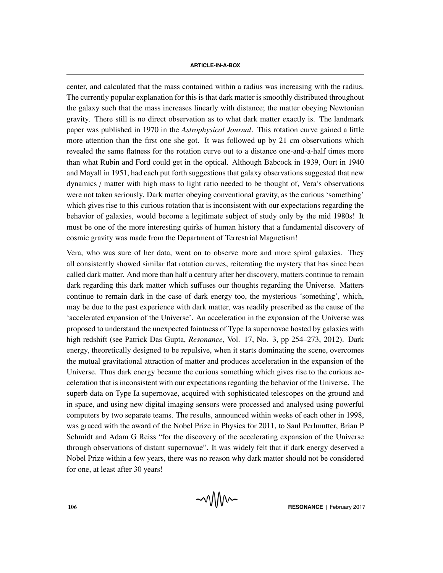center, and calculated that the mass contained within a radius was increasing with the radius. The currently popular explanation for this is that dark matter is smoothly distributed throughout the galaxy such that the mass increases linearly with distance; the matter obeying Newtonian gravity. There still is no direct observation as to what dark matter exactly is. The landmark paper was published in 1970 in the *Astrophysical Journal*. This rotation curve gained a little more attention than the first one she got. It was followed up by 21 cm observations which revealed the same flatness for the rotation curve out to a distance one-and-a-half times more than what Rubin and Ford could get in the optical. Although Babcock in 1939, Oort in 1940 and Mayall in 1951, had each put forth suggestions that galaxy observations suggested that new dynamics / matter with high mass to light ratio needed to be thought of, Vera's observations were not taken seriously. Dark matter obeying conventional gravity, as the curious 'something' which gives rise to this curious rotation that is inconsistent with our expectations regarding the behavior of galaxies, would become a legitimate subject of study only by the mid 1980s! It must be one of the more interesting quirks of human history that a fundamental discovery of cosmic gravity was made from the Department of Terrestrial Magnetism!

Vera, who was sure of her data, went on to observe more and more spiral galaxies. They all consistently showed similar flat rotation curves, reiterating the mystery that has since been called dark matter. And more than half a century after her discovery, matters continue to remain dark regarding this dark matter which suffuses our thoughts regarding the Universe. Matters continue to remain dark in the case of dark energy too, the mysterious 'something', which, may be due to the past experience with dark matter, was readily prescribed as the cause of the 'accelerated expansion of the Universe'. An acceleration in the expansion of the Universe was proposed to understand the unexpected faintness of Type Ia supernovae hosted by galaxies with high redshift (see Patrick Das Gupta, *Resonance*, Vol. 17, No. 3, pp 254–273, 2012). Dark energy, theoretically designed to be repulsive, when it starts dominating the scene, overcomes the mutual gravitational attraction of matter and produces acceleration in the expansion of the Universe. Thus dark energy became the curious something which gives rise to the curious acceleration that is inconsistent with our expectations regarding the behavior of the Universe. The superb data on Type Ia supernovae, acquired with sophisticated telescopes on the ground and in space, and using new digital imaging sensors were processed and analysed using powerful computers by two separate teams. The results, announced within weeks of each other in 1998, was graced with the award of the Nobel Prize in Physics for 2011, to Saul Perlmutter, Brian P Schmidt and Adam G Reiss "for the discovery of the accelerating expansion of the Universe through observations of distant supernovae". It was widely felt that if dark energy deserved a Nobel Prize within a few years, there was no reason why dark matter should not be considered for one, at least after 30 years!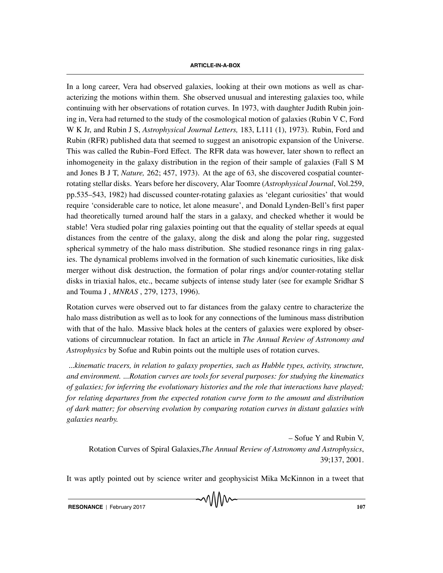In a long career, Vera had observed galaxies, looking at their own motions as well as characterizing the motions within them. She observed unusual and interesting galaxies too, while continuing with her observations of rotation curves. In 1973, with daughter Judith Rubin joining in, Vera had returned to the study of the cosmological motion of galaxies (Rubin V C, Ford W K Jr, and Rubin J S, *Astrophysical Journal Letters,* 183, L111 (1), 1973). Rubin, Ford and Rubin (RFR) published data that seemed to suggest an anisotropic expansion of the Universe. This was called the Rubin–Ford Effect. The RFR data was however, later shown to reflect an inhomogeneity in the galaxy distribution in the region of their sample of galaxies (Fall S M and Jones B J T, *Nature,* 262; 457, 1973). At the age of 63, she discovered cospatial counterrotating stellar disks. Years before her discovery, Alar Toomre (*Astrophysical Journal*, Vol.259, pp.535–543, 1982) had discussed counter-rotating galaxies as 'elegant curiosities' that would require 'considerable care to notice, let alone measure', and Donald Lynden-Bell's first paper had theoretically turned around half the stars in a galaxy, and checked whether it would be stable! Vera studied polar ring galaxies pointing out that the equality of stellar speeds at equal distances from the centre of the galaxy, along the disk and along the polar ring, suggested spherical symmetry of the halo mass distribution. She studied resonance rings in ring galaxies. The dynamical problems involved in the formation of such kinematic curiosities, like disk merger without disk destruction, the formation of polar rings and/or counter-rotating stellar disks in triaxial halos, etc., became subjects of intense study later (see for example Sridhar S and Touma J , *MNRAS* , 279, 1273, 1996).

Rotation curves were observed out to far distances from the galaxy centre to characterize the halo mass distribution as well as to look for any connections of the luminous mass distribution with that of the halo. Massive black holes at the centers of galaxies were explored by observations of circumnuclear rotation. In fact an article in *The Annual Review of Astronomy and Astrophysics* by Sofue and Rubin points out the multiple uses of rotation curves.

...*kinematic tracers, in relation to galaxy properties, such as Hubble types, activity, structure, and environment. ...Rotation curves are tools for several purposes: for studying the kinematics of galaxies; for inferring the evolutionary histories and the role that interactions have played; for relating departures from the expected rotation curve form to the amount and distribution of dark matter; for observing evolution by comparing rotation curves in distant galaxies with galaxies nearby.*

– Sofue Y and Rubin V, Rotation Curves of Spiral Galaxies,*The Annual Review of Astronomy and Astrophysics*, 39;137, 2001.

It was aptly pointed out by science writer and geophysicist Mika McKinnon in a tweet that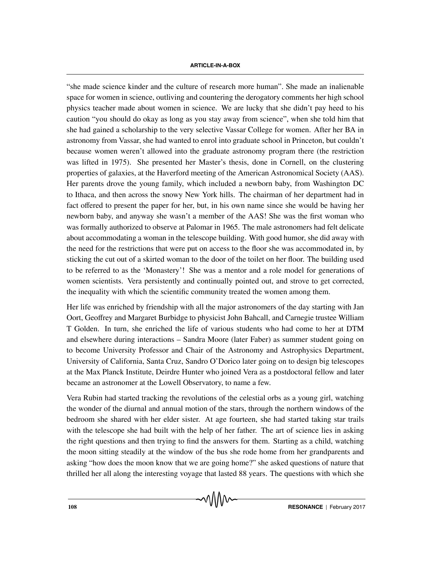"she made science kinder and the culture of research more human". She made an inalienable space for women in science, outliving and countering the derogatory comments her high school physics teacher made about women in science. We are lucky that she didn't pay heed to his caution "you should do okay as long as you stay away from science", when she told him that she had gained a scholarship to the very selective Vassar College for women. After her BA in astronomy from Vassar, she had wanted to enrol into graduate school in Princeton, but couldn't because women weren't allowed into the graduate astronomy program there (the restriction was lifted in 1975). She presented her Master's thesis, done in Cornell, on the clustering properties of galaxies, at the Haverford meeting of the American Astronomical Society (AAS). Her parents drove the young family, which included a newborn baby, from Washington DC to Ithaca, and then across the snowy New York hills. The chairman of her department had in fact offered to present the paper for her, but, in his own name since she would be having her newborn baby, and anyway she wasn't a member of the AAS! She was the first woman who was formally authorized to observe at Palomar in 1965. The male astronomers had felt delicate about accommodating a woman in the telescope building. With good humor, she did away with the need for the restrictions that were put on access to the floor she was accommodated in, by sticking the cut out of a skirted woman to the door of the toilet on her floor. The building used to be referred to as the 'Monastery'! She was a mentor and a role model for generations of women scientists. Vera persistently and continually pointed out, and strove to get corrected, the inequality with which the scientific community treated the women among them.

Her life was enriched by friendship with all the major astronomers of the day starting with Jan Oort, Geoffrey and Margaret Burbidge to physicist John Bahcall, and Carnegie trustee William T Golden. In turn, she enriched the life of various students who had come to her at DTM and elsewhere during interactions – Sandra Moore (later Faber) as summer student going on to become University Professor and Chair of the Astronomy and Astrophysics Department, University of California, Santa Cruz, Sandro O'Dorico later going on to design big telescopes at the Max Planck Institute, Deirdre Hunter who joined Vera as a postdoctoral fellow and later became an astronomer at the Lowell Observatory, to name a few.

Vera Rubin had started tracking the revolutions of the celestial orbs as a young girl, watching the wonder of the diurnal and annual motion of the stars, through the northern windows of the bedroom she shared with her elder sister. At age fourteen, she had started taking star trails with the telescope she had built with the help of her father. The art of science lies in asking the right questions and then trying to find the answers for them. Starting as a child, watching the moon sitting steadily at the window of the bus she rode home from her grandparents and asking "how does the moon know that we are going home?" she asked questions of nature that thrilled her all along the interesting voyage that lasted 88 years. The questions with which she